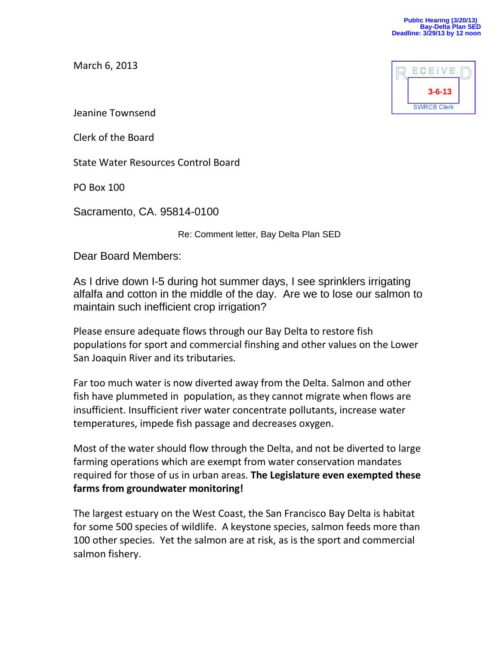March 6, 2013



Jeanine Townsend

Clerk of the Board

State Water Resources Control Board

PO Box 100

Sacramento, CA. 95814-0100

Re: Comment letter, Bay Delta Plan SED

Dear Board Members:

As I drive down I-5 during hot summer days, I see sprinklers irrigating alfalfa and cotton in the middle of the day. Are we to lose our salmon to maintain such inefficient crop irrigation?

Please ensure adequate flows through our Bay Delta to restore fish populations for sport and commercial finshing and other values on the Lower San Joaquin River and its tributaries.

Far too much water is now diverted away from the Delta. Salmon and other fish have plummeted in population, as they cannot migrate when flows are insufficient. Insufficient river water concentrate pollutants, increase water temperatures, impede fish passage and decreases oxygen.

Most of the water should flow through the Delta, and not be diverted to large farming operations which are exempt from water conservation mandates required for those of us in urban areas. **The Legislature even exempted these farms from groundwater monitoring!**

The largest estuary on the West Coast, the San Francisco Bay Delta is habitat for some 500 species of wildlife. A keystone species, salmon feeds more than 100 other species. Yet the salmon are at risk, as is the sport and commercial salmon fishery.